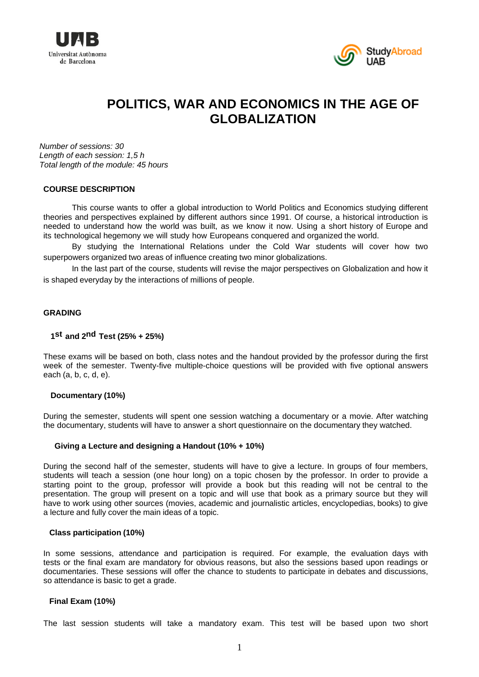



# **POLITICS, WAR AND ECONOMICS IN THE AGE OF GLOBALIZATION**

*Number of sessions: 30 Length of each session: 1,5 h Total length of the module: 45 hours* 

## **COURSE DESCRIPTION**

This course wants to offer a global introduction to World Politics and Economics studying different theories and perspectives explained by different authors since 1991. Of course, a historical introduction is needed to understand how the world was built, as we know it now. Using a short history of Europe and its technological hegemony we will study how Europeans conquered and organized the world.

By studying the International Relations under the Cold War students will cover how two superpowers organized two areas of influence creating two minor globalizations.

In the last part of the course, students will revise the major perspectives on Globalization and how it is shaped everyday by the interactions of millions of people.

### **GRADING**

## **1st and 2nd Test (25% + 25%)**

These exams will be based on both, class notes and the handout provided by the professor during the first week of the semester. Twenty-five multiple-choice questions will be provided with five optional answers each (a, b, c, d, e).

### **Documentary (10%)**

During the semester, students will spent one session watching a documentary or a movie. After watching the documentary, students will have to answer a short questionnaire on the documentary they watched.

### **Giving a Lecture and designing a Handout (10% + 10%)**

During the second half of the semester, students will have to give a lecture. In groups of four members, students will teach a session (one hour long) on a topic chosen by the professor. In order to provide a starting point to the group, professor will provide a book but this reading will not be central to the presentation. The group will present on a topic and will use that book as a primary source but they will have to work using other sources (movies, academic and journalistic articles, encyclopedias, books) to give a lecture and fully cover the main ideas of a topic.

#### **Class participation (10%)**

In some sessions, attendance and participation is required. For example, the evaluation days with tests or the final exam are mandatory for obvious reasons, but also the sessions based upon readings or documentaries. These sessions will offer the chance to students to participate in debates and discussions, so attendance is basic to get a grade.

#### **Final Exam (10%)**

The last session students will take a mandatory exam. This test will be based upon two short